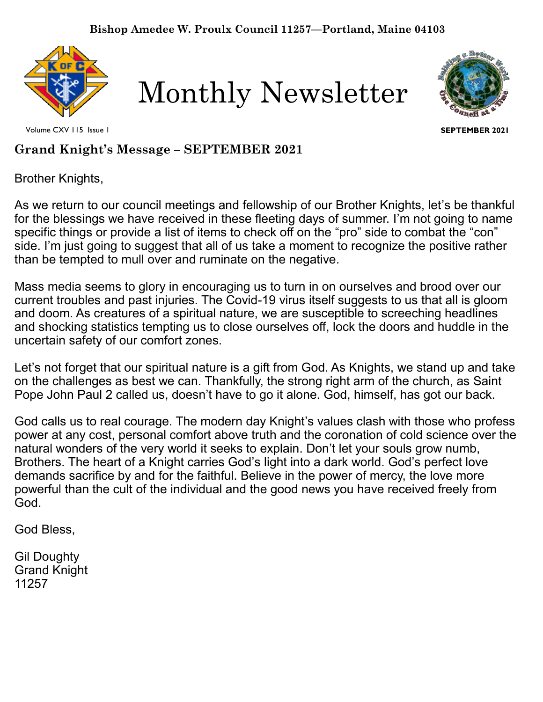

Monthly Newsletter



Volume CXV 115 Issue 1

**SEPTEMBER 2021**

## **Grand Knight's Message – SEPTEMBER 2021**

Brother Knights,

As we return to our council meetings and fellowship of our Brother Knights, let's be thankful for the blessings we have received in these fleeting days of summer. I'm not going to name specific things or provide a list of items to check off on the "pro" side to combat the "con" side. I'm just going to suggest that all of us take a moment to recognize the positive rather than be tempted to mull over and ruminate on the negative.

Mass media seems to glory in encouraging us to turn in on ourselves and brood over our current troubles and past injuries. The Covid-19 virus itself suggests to us that all is gloom and doom. As creatures of a spiritual nature, we are susceptible to screeching headlines and shocking statistics tempting us to close ourselves off, lock the doors and huddle in the uncertain safety of our comfort zones.

Let's not forget that our spiritual nature is a gift from God. As Knights, we stand up and take on the challenges as best we can. Thankfully, the strong right arm of the church, as Saint Pope John Paul 2 called us, doesn't have to go it alone. God, himself, has got our back.

 powerful than the cult of the individual and the good news you have received freely from God calls us to real courage. The modern day Knight's values clash with those who profess power at any cost, personal comfort above truth and the coronation of cold science over the natural wonders of the very world it seeks to explain. Don't let your souls grow numb, Brothers. The heart of a Knight carries God's light into a dark world. God's perfect love demands sacrifice by and for the faithful. Believe in the power of mercy, the love more God.

God Bless,

Gil Doughty Grand Knight 11257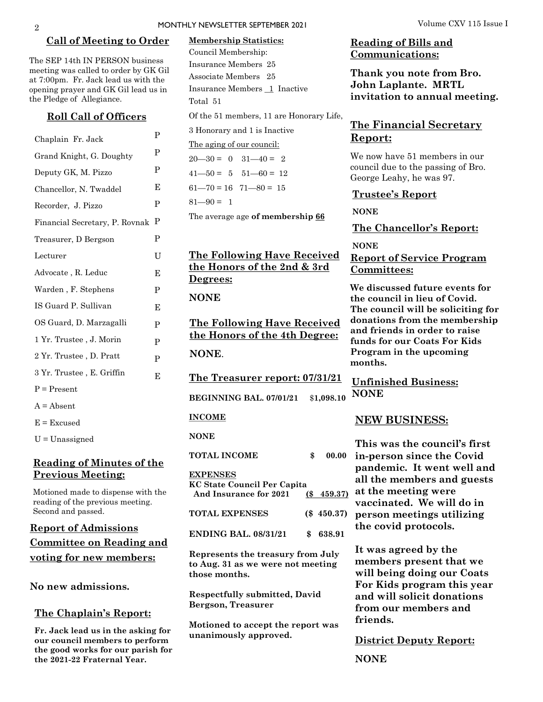#### **Call of Meeting to Order**

The SEP 14th IN PERSON business meeting was called to order by GK Gil at 7:00pm. Fr. Jack lead us with the opening prayer and GK Gil lead us in the Pledge of Allegiance.

#### **Roll Call of Officers**

| Chaplain Fr. Jack              | P           |
|--------------------------------|-------------|
| Grand Knight, G. Doughty       | P           |
| Deputy GK, M. Pizzo            | P           |
| Chancellor, N. Twaddel         | Е           |
| Recorder, J. Pizzo             | P           |
| Financial Secretary, P. Rovnak | Ρ           |
| Treasurer, D Bergson           | P           |
| Lecturer                       | U           |
| Advocate, R. Leduc             | Е           |
| Warden, F. Stephens            | P           |
| IS Guard P. Sullivan           | E           |
| OS Guard, D. Marzagalli        | P           |
| 1 Yr. Trustee , J. Morin       | P           |
| 2 Yr. Trustee , D. Pratt       | $\mathbf P$ |
| 3 Yr. Trustee, E. Griffin      | E           |
| $P = Present$                  |             |
| $A = Absent$                   |             |
| $E = Excused$                  |             |
| $U =$ Unassigned               |             |

### **Reading of Minutes of the Previous Meeting:**

Motioned made to dispense with the reading of the previous meeting. Second and passed.

**Report of Admissions Committee on Reading and voting for new members:**

**No new admissions.** 

#### **The Chaplain's Report:**

**Fr. Jack lead us in the asking for our council members to perform the good works for our parish for the 2021-22 Fraternal Year.**

### **Membership Statistics:**  Council Membership: Insurance Members 25 Associate Members 25 Insurance Members 1 Inactive Total 51

Of the 51 members, 11 are Honorary Life,

3 Honorary and 1 is Inactive

The aging of our council:

 $20 - 30 = 0$   $31 - 40 = 2$  $41 - 50 = 5$   $51 - 60 = 12$ 

 $61 - 70 = 16$   $71 - 80 = 15$ 

 $81 - 90 = 1$ 

The average age **of membership 66**

### **The Following Have Received the Honors of the 2nd & 3rd Degrees:**

### **NONE**

**The Following Have Received the Honors of the 4th Degree: NONE**.

**The Treasurer report: 07/31/21**

**BEGINNING BAL. 07/01/21** \$**1,098.10**

#### **INCOME**

**NONE**

| TOTAL INCOME                                                                    |   | 00.00         |
|---------------------------------------------------------------------------------|---|---------------|
| <b>EXPENSES</b><br><b>KC State Council Per Capita</b><br>And Insurance for 2021 |   | $(S\ 459.37)$ |
| <b>TOTAL EXPENSES</b>                                                           |   | $(\$ 450.37)$ |
| <b>ENDING BAL. 08/31/21</b>                                                     | S | 638.91        |
|                                                                                 |   |               |

**Represents the treasury from July to Aug. 31 as we were not meeting those months.** 

**Respectfully submitted, David Bergson, Treasurer**

**Motioned to accept the report was unanimously approved.**

### **Reading of Bills and Communications:**

**Thank you note from Bro. John Laplante. MRTL invitation to annual meeting.**

### **The Financial Secretary Report:**

We now have 51 members in our council due to the passing of Bro. George Leahy, he was 97.

#### **Trustee's Report**

```
NONE
```
**The Chancellor's Report:** 

**NONE**

### **Report of Service Program Committees:**

**We discussed future events for the council in lieu of Covid. The council will be soliciting for donations from the membership and friends in order to raise funds for our Coats For Kids Program in the upcoming months.**

**Unfinished Business: NONE**

#### **NEW BUSINESS:**

**This was the council's first in-person since the Covid pandemic. It went well and all the members and guests at the meeting were vaccinated. We will do in person meetings utilizing the covid protocols.** 

**It was agreed by the members present that we will being doing our Coats For Kids program this year and will solicit donations from our members and friends.**

**District Deputy Report:**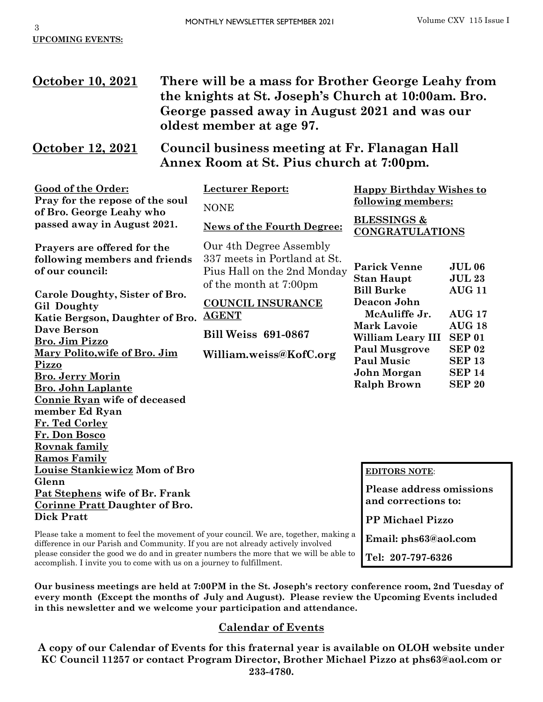**Email: phs63@aol.com**

**Tel: 207-797-6326**

## **October 10, 2021 There will be a mass for Brother George Leahy from the knights at St. Joseph's Church at 10:00am. Bro. George passed away in August 2021 and was our oldest member at age 97.**

## **October 12, 2021 Council business meeting at Fr. Flanagan Hall Annex Room at St. Pius church at 7:00pm.**

| Good of the Order:<br>Pray for the repose of the soul | <b>Lecturer Report:</b>                  | <b>Happy Birthday Wishes to</b><br>following members:<br><b>BLESSINGS &amp;</b><br><b>CONGRATULATIONS</b> |                                |  |
|-------------------------------------------------------|------------------------------------------|-----------------------------------------------------------------------------------------------------------|--------------------------------|--|
| of Bro. George Leahy who                              | <b>NONE</b>                              |                                                                                                           |                                |  |
| passed away in August 2021.                           | <b>News of the Fourth Degree:</b>        |                                                                                                           |                                |  |
| Prayers are offered for the                           | Our 4th Degree Assembly                  |                                                                                                           |                                |  |
| following members and friends                         | 337 meets in Portland at St.             |                                                                                                           |                                |  |
| of our council:                                       | Pius Hall on the 2nd Monday              | <b>Parick Venne</b>                                                                                       | <b>JUL 06</b><br><b>JUL 23</b> |  |
|                                                       | of the month at 7:00pm                   | <b>Stan Haupt</b><br><b>Bill Burke</b>                                                                    | <b>AUG 11</b>                  |  |
| Carole Doughty, Sister of Bro.                        |                                          | Deacon John                                                                                               |                                |  |
| <b>Gil Doughty</b>                                    | <b>COUNCIL INSURANCE</b><br><b>AGENT</b> | McAuliffe Jr.                                                                                             | <b>AUG 17</b>                  |  |
| Katie Bergson, Daughter of Bro.                       |                                          | <b>Mark Lavoie</b>                                                                                        | <b>AUG 18</b>                  |  |
| <b>Dave Berson</b>                                    | <b>Bill Weiss 691-0867</b>               | William Leary III                                                                                         | <b>SEP 01</b>                  |  |
| <b>Bro. Jim Pizzo</b>                                 | William.weiss@KofC.org                   | <b>Paul Musgrove</b>                                                                                      | <b>SEP 02</b>                  |  |
| Mary Polito, wife of Bro. Jim<br>Pizzo                |                                          | <b>Paul Music</b>                                                                                         | <b>SEP 13</b>                  |  |
| <b>Bro. Jerry Morin</b>                               |                                          | John Morgan                                                                                               | <b>SEP 14</b>                  |  |
| <b>Bro. John Laplante</b>                             |                                          | <b>Ralph Brown</b>                                                                                        | <b>SEP 20</b>                  |  |
| <b>Connie Ryan wife of deceased</b>                   |                                          |                                                                                                           |                                |  |
| member Ed Ryan                                        |                                          |                                                                                                           |                                |  |
| Fr. Ted Corley                                        |                                          |                                                                                                           |                                |  |
| Fr. Don Bosco                                         |                                          |                                                                                                           |                                |  |
| <b>Rovnak family</b>                                  |                                          |                                                                                                           |                                |  |
| <b>Ramos Family</b>                                   |                                          |                                                                                                           |                                |  |
| <u>Louise Stankiewicz</u> Mom of Bro                  |                                          | <b>EDITORS NOTE:</b>                                                                                      |                                |  |
| Glenn                                                 |                                          |                                                                                                           |                                |  |
| Pat Stephens wife of Br. Frank                        |                                          | <b>Please address omissions</b><br>and corrections to:                                                    |                                |  |
| <b>Corinne Pratt Daughter of Bro.</b>                 |                                          |                                                                                                           |                                |  |
| <b>Dick Pratt</b>                                     |                                          | <b>PP Michael Pizzo</b>                                                                                   |                                |  |

Please take a moment to feel the movement of your council. We are, together, making a difference in our Parish and Community. If you are not already actively involved please consider the good we do and in greater numbers the more that we will be able to accomplish. I invite you to come with us on a journey to fulfillment.

**Our business meetings are held at 7:00PM in the St. Joseph's rectory conference room, 2nd Tuesday of every month (Except the months of July and August). Please review the Upcoming Events included in this newsletter and we welcome your participation and attendance.** 

### **Calendar of Events**

**A copy of our Calendar of Events for this fraternal year is available on OLOH website under KC Council 11257 or contact Program Director, Brother Michael Pizzo at phs63@aol.com or 233-4780.**